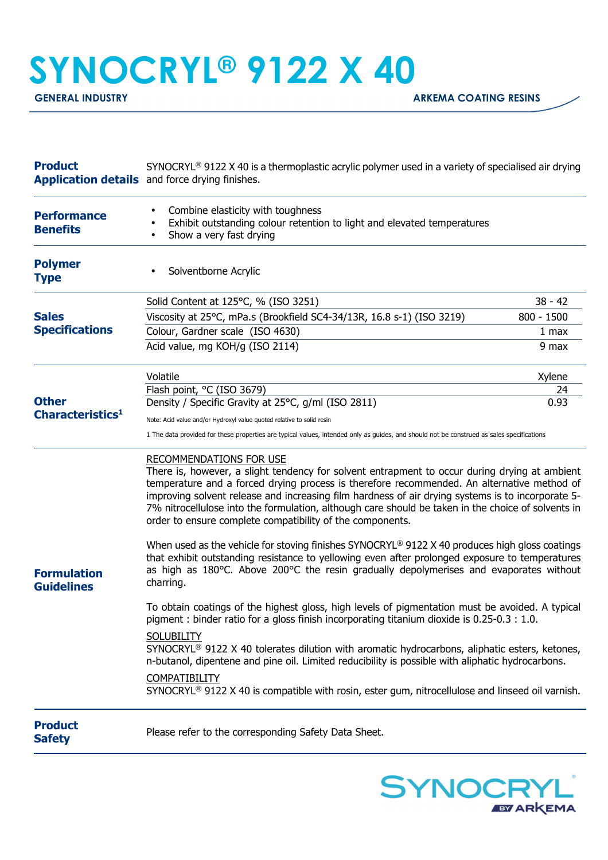## **SYNOCRYL® 9122 X 40**

| <b>Product</b>                               | $SYNOCRYL^{\circledcirc}$ 9122 X 40 is a thermoplastic acrylic polymer used in a variety of specialised air drying<br><b>Application details</b> and force drying finishes.                                                                                                                                                                                                                                                                                                                           |                  |
|----------------------------------------------|-------------------------------------------------------------------------------------------------------------------------------------------------------------------------------------------------------------------------------------------------------------------------------------------------------------------------------------------------------------------------------------------------------------------------------------------------------------------------------------------------------|------------------|
| <b>Performance</b><br><b>Benefits</b>        | Combine elasticity with toughness<br>$\bullet$<br>Exhibit outstanding colour retention to light and elevated temperatures<br>Show a very fast drying                                                                                                                                                                                                                                                                                                                                                  |                  |
| <b>Polymer</b><br><b>Type</b>                | Solventborne Acrylic                                                                                                                                                                                                                                                                                                                                                                                                                                                                                  |                  |
| <b>Sales</b><br><b>Specifications</b>        | Solid Content at 125°C, % (ISO 3251)                                                                                                                                                                                                                                                                                                                                                                                                                                                                  | $38 - 42$        |
|                                              | Viscosity at 25°C, mPa.s (Brookfield SC4-34/13R, 16.8 s-1) (ISO 3219)                                                                                                                                                                                                                                                                                                                                                                                                                                 | $800 - 1500$     |
|                                              | Colour, Gardner scale (ISO 4630)                                                                                                                                                                                                                                                                                                                                                                                                                                                                      | 1 <sub>max</sub> |
|                                              | Acid value, mg KOH/g (ISO 2114)                                                                                                                                                                                                                                                                                                                                                                                                                                                                       | 9 max            |
| <b>Other</b><br>Characteristics <sup>1</sup> | Volatile                                                                                                                                                                                                                                                                                                                                                                                                                                                                                              | Xylene           |
|                                              | Flash point, °C (ISO 3679)                                                                                                                                                                                                                                                                                                                                                                                                                                                                            | 24               |
|                                              | Density / Specific Gravity at 25°C, g/ml (ISO 2811)                                                                                                                                                                                                                                                                                                                                                                                                                                                   | 0.93             |
|                                              | Note: Acid value and/or Hydroxyl value quoted relative to solid resin                                                                                                                                                                                                                                                                                                                                                                                                                                 |                  |
|                                              | 1 The data provided for these properties are typical values, intended only as guides, and should not be construed as sales specifications                                                                                                                                                                                                                                                                                                                                                             |                  |
| <b>Formulation</b><br><b>Guidelines</b>      | <b>RECOMMENDATIONS FOR USE</b><br>There is, however, a slight tendency for solvent entrapment to occur during drying at ambient<br>temperature and a forced drying process is therefore recommended. An alternative method of<br>improving solvent release and increasing film hardness of air drying systems is to incorporate 5-<br>7% nitrocellulose into the formulation, although care should be taken in the choice of solvents in<br>order to ensure complete compatibility of the components. |                  |
|                                              | When used as the vehicle for stoving finishes SYNOCRYL® 9122 X 40 produces high gloss coatings<br>that exhibit outstanding resistance to yellowing even after prolonged exposure to temperatures<br>as high as 180°C. Above 200°C the resin gradually depolymerises and evaporates without<br>charring.                                                                                                                                                                                               |                  |
|                                              | To obtain coatings of the highest gloss, high levels of pigmentation must be avoided. A typical<br>pigment : binder ratio for a gloss finish incorporating titanium dioxide is 0.25-0.3 : 1.0.                                                                                                                                                                                                                                                                                                        |                  |
|                                              | <b>SOLUBILITY</b><br>SYNOCRYL <sup>®</sup> 9122 X 40 tolerates dilution with aromatic hydrocarbons, aliphatic esters, ketones,<br>n-butanol, dipentene and pine oil. Limited reducibility is possible with aliphatic hydrocarbons.                                                                                                                                                                                                                                                                    |                  |
|                                              | <b>COMPATIBILITY</b><br>$SYNOCRYL®$ 9122 X 40 is compatible with rosin, ester gum, nitrocellulose and linseed oil varnish.                                                                                                                                                                                                                                                                                                                                                                            |                  |
| <b>Product</b><br><b>Safety</b>              | Please refer to the corresponding Safety Data Sheet.                                                                                                                                                                                                                                                                                                                                                                                                                                                  |                  |